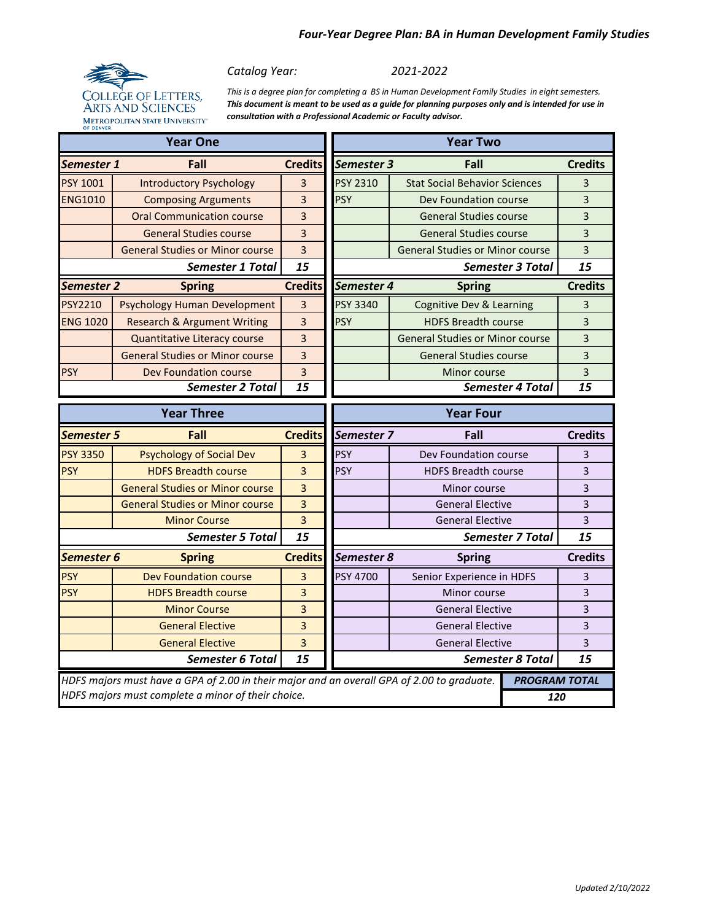## *Four-Year Degree Plan: BA in Human Development Family Studies*



*Catalog Year:* 

*2021-2022*

*This is a degree plan for completing a BS in Human Development Family Studies in eight semesters. This document is meant to be used as a guide for planning purposes only and is intended for use in consultation with a Professional Academic or Faculty advisor.*

|                         | <b>Year One</b>                                                                                                                                  | <b>Year Two</b> |                   |                                        |                      |                |
|-------------------------|--------------------------------------------------------------------------------------------------------------------------------------------------|-----------------|-------------------|----------------------------------------|----------------------|----------------|
| Semester 1              | Fall                                                                                                                                             | <b>Credits</b>  | <b>Semester 3</b> | Fall                                   |                      | <b>Credits</b> |
| <b>PSY 1001</b>         | <b>Introductory Psychology</b>                                                                                                                   | 3               | <b>PSY 2310</b>   | <b>Stat Social Behavior Sciences</b>   |                      | 3              |
| <b>ENG1010</b>          | <b>Composing Arguments</b>                                                                                                                       | 3               | <b>PSY</b>        | Dev Foundation course                  |                      | 3              |
|                         | <b>Oral Communication course</b>                                                                                                                 | 3               |                   | <b>General Studies course</b>          |                      | 3              |
|                         | <b>General Studies course</b>                                                                                                                    | 3               |                   | <b>General Studies course</b>          |                      | 3              |
|                         | <b>General Studies or Minor course</b>                                                                                                           | $\overline{3}$  |                   | <b>General Studies or Minor course</b> |                      | 3              |
| <b>Semester 1 Total</b> |                                                                                                                                                  | 15              |                   | <b>Semester 3 Total</b>                |                      | 15             |
| <b>Semester 2</b>       | <b>Spring</b>                                                                                                                                    | <b>Credits</b>  | Semester 4        | <b>Spring</b>                          |                      | <b>Credits</b> |
| <b>PSY2210</b>          | <b>Psychology Human Development</b>                                                                                                              | 3               | <b>PSY 3340</b>   | Cognitive Dev & Learning               |                      | 3              |
| <b>ENG 1020</b>         | <b>Research &amp; Argument Writing</b>                                                                                                           | 3               | <b>PSY</b>        | <b>HDFS Breadth course</b>             |                      | 3              |
|                         | Quantitative Literacy course                                                                                                                     | 3               |                   | <b>General Studies or Minor course</b> |                      | 3              |
|                         | <b>General Studies or Minor course</b>                                                                                                           | 3               |                   | <b>General Studies course</b>          |                      | 3              |
| <b>PSY</b>              | Dev Foundation course                                                                                                                            | $\overline{3}$  |                   | Minor course                           |                      | 3              |
|                         | <b>Semester 2 Total</b>                                                                                                                          | 15              |                   | <b>Semester 4 Total</b>                |                      | 15             |
|                         | <b>Year Three</b>                                                                                                                                |                 | <b>Year Four</b>  |                                        |                      |                |
|                         | Fall<br>Semester 5                                                                                                                               |                 |                   |                                        |                      |                |
|                         |                                                                                                                                                  | <b>Credits</b>  | Semester 7        | Fall                                   |                      | <b>Credits</b> |
| <b>PSY 3350</b>         | <b>Psychology of Social Dev</b>                                                                                                                  | 3               | <b>PSY</b>        | Dev Foundation course                  |                      | 3              |
| <b>PSY</b>              | <b>HDFS Breadth course</b>                                                                                                                       | 3               | <b>PSY</b>        | <b>HDFS Breadth course</b>             |                      | 3              |
|                         | <b>General Studies or Minor course</b>                                                                                                           | $\overline{3}$  |                   | Minor course                           |                      | 3              |
|                         | <b>General Studies or Minor course</b>                                                                                                           | $\overline{3}$  |                   | <b>General Elective</b>                |                      | 3              |
|                         | <b>Minor Course</b>                                                                                                                              | 3               |                   | <b>General Elective</b>                |                      | 3              |
|                         | <b>Semester 5 Total</b>                                                                                                                          | 15              |                   | <b>Semester 7 Total</b>                |                      | 15             |
| Semester 6              | <b>Spring</b>                                                                                                                                    | <b>Credits</b>  | Semester 8        | <b>Spring</b>                          |                      | <b>Credits</b> |
| <b>PSY</b>              | Dev Foundation course                                                                                                                            | 3               | <b>PSY 4700</b>   | Senior Experience in HDFS              |                      | 3              |
| <b>PSY</b>              | <b>HDFS Breadth course</b>                                                                                                                       | 3               |                   | Minor course                           |                      | 3              |
|                         | <b>Minor Course</b>                                                                                                                              | 3               |                   | <b>General Elective</b>                |                      | 3              |
|                         | <b>General Elective</b>                                                                                                                          | 3               |                   | <b>General Elective</b>                |                      | 3              |
|                         | <b>General Elective</b>                                                                                                                          | 3               |                   | <b>General Elective</b>                |                      | 3              |
|                         | <b>Semester 6 Total</b>                                                                                                                          | 15              |                   | <b>Semester 8 Total</b>                |                      | 15             |
|                         | HDFS majors must have a GPA of 2.00 in their major and an overall GPA of 2.00 to graduate.<br>HDFS majors must complete a minor of their choice. |                 |                   |                                        | <b>PROGRAM TOTAL</b> |                |